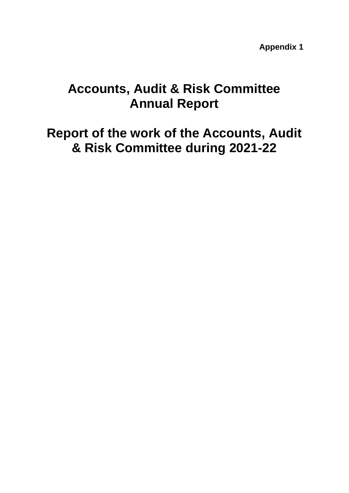**Appendix 1**

# **Accounts, Audit & Risk Committee Annual Report**

**Report of the work of the Accounts, Audit & Risk Committee during 2021-22**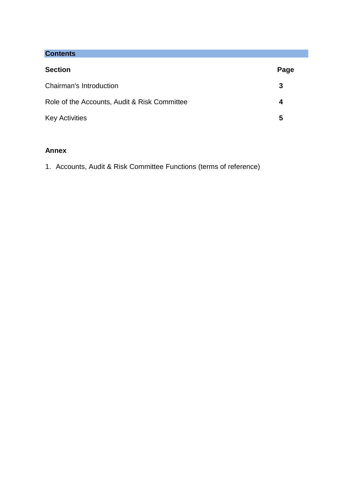# **Contents**

| <b>Section</b>                               | Page |
|----------------------------------------------|------|
| Chairman's Introduction                      | 3    |
| Role of the Accounts, Audit & Risk Committee | 4    |
| <b>Key Activities</b>                        | 5    |

# **Annex**

1. Accounts, Audit & Risk Committee Functions (terms of reference)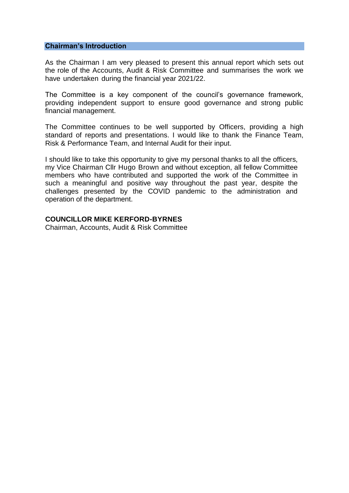#### **Chairman's Introduction**

As the Chairman I am very pleased to present this annual report which sets out the role of the Accounts, Audit & Risk Committee and summarises the work we have undertaken during the financial year 2021/22.

The Committee is a key component of the council's governance framework, providing independent support to ensure good governance and strong public financial management.

The Committee continues to be well supported by Officers, providing a high standard of reports and presentations. I would like to thank the Finance Team, Risk & Performance Team, and Internal Audit for their input.

I should like to take this opportunity to give my personal thanks to all the officers, my Vice Chairman Cllr Hugo Brown and without exception, all fellow Committee members who have contributed and supported the work of the Committee in such a meaningful and positive way throughout the past year, despite the challenges presented by the COVID pandemic to the administration and operation of the department.

## **COUNCILLOR MIKE KERFORD-BYRNES**

Chairman, Accounts, Audit & Risk Committee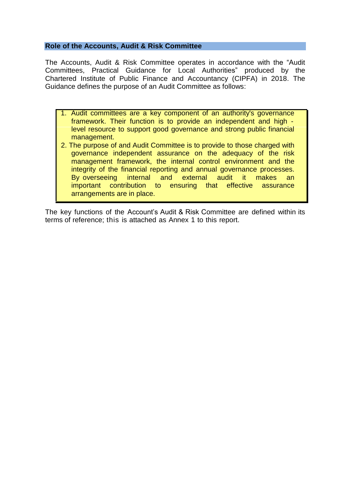# **Role of the Accounts, Audit & Risk Committee**

The Accounts, Audit & Risk Committee operates in accordance with the "Audit Committees, Practical Guidance for Local Authorities" produced by the Chartered Institute of Public Finance and Accountancy (CIPFA) in 2018. The Guidance defines the purpose of an Audit Committee as follows:

- 1. Audit committees are a key component of an authority's governance framework. Their function is to provide an independent and high level resource to support good governance and strong public financial management.
- 2. The purpose of and Audit Committee is to provide to those charged with governance independent assurance on the adequacy of the risk management framework, the internal control environment and the integrity of the financial reporting and annual governance processes. By overseeing internal and external audit it makes an important contribution to ensuring that effective assurance arrangements are in place.

The key functions of the Account's Audit & Risk Committee are defined within its terms of reference; this is attached as Annex 1 to this report.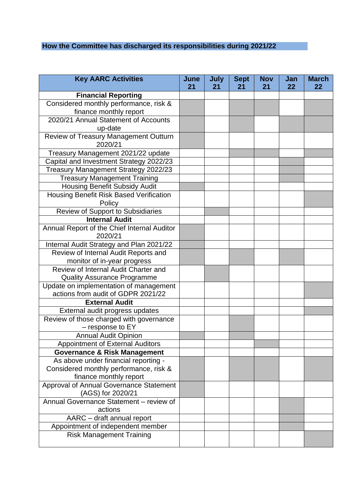# **How the Committee has discharged its responsibilities during 2021/22**

| <b>Key AARC Activities</b>                                                   | June<br>21 | <b>July</b><br>21 | <b>Sept</b><br>21 | <b>Nov</b><br>21 | Jan<br>22 | <b>March</b><br>22 |
|------------------------------------------------------------------------------|------------|-------------------|-------------------|------------------|-----------|--------------------|
| <b>Financial Reporting</b>                                                   |            |                   |                   |                  |           |                    |
| Considered monthly performance, risk &                                       |            |                   |                   |                  |           |                    |
| finance monthly report                                                       |            |                   |                   |                  |           |                    |
| 2020/21 Annual Statement of Accounts                                         |            |                   |                   |                  |           |                    |
| up-date                                                                      |            |                   |                   |                  |           |                    |
| Review of Treasury Management Outturn                                        |            |                   |                   |                  |           |                    |
| 2020/21                                                                      |            |                   |                   |                  |           |                    |
| Treasury Management 2021/22 update                                           |            |                   |                   |                  |           |                    |
| Capital and Investment Strategy 2022/23                                      |            |                   |                   |                  |           |                    |
| Treasury Management Strategy 2022/23                                         |            |                   |                   |                  |           |                    |
| <b>Treasury Management Training</b>                                          |            |                   |                   |                  |           |                    |
| <b>Housing Benefit Subsidy Audit</b>                                         |            |                   |                   |                  |           |                    |
| Housing Benefit Risk Based Verification                                      |            |                   |                   |                  |           |                    |
| Policy                                                                       |            |                   |                   |                  |           |                    |
| Review of Support to Subsidiaries                                            |            |                   |                   |                  |           |                    |
| <b>Internal Audit</b>                                                        |            |                   |                   |                  |           |                    |
| Annual Report of the Chief Internal Auditor                                  |            |                   |                   |                  |           |                    |
| 2020/21                                                                      |            |                   |                   |                  |           |                    |
| Internal Audit Strategy and Plan 2021/22                                     |            |                   |                   |                  |           |                    |
| Review of Internal Audit Reports and                                         |            |                   |                   |                  |           |                    |
| monitor of in-year progress                                                  |            |                   |                   |                  |           |                    |
| Review of Internal Audit Charter and                                         |            |                   |                   |                  |           |                    |
| <b>Quality Assurance Programme</b>                                           |            |                   |                   |                  |           |                    |
| Update on implementation of management<br>actions from audit of GDPR 2021/22 |            |                   |                   |                  |           |                    |
| <b>External Audit</b>                                                        |            |                   |                   |                  |           |                    |
| External audit progress updates                                              |            |                   |                   |                  |           |                    |
| Review of those charged with governance                                      |            |                   |                   |                  |           |                    |
| - response to EY                                                             |            |                   |                   |                  |           |                    |
| <b>Annual Audit Opinion</b>                                                  |            |                   |                   |                  |           |                    |
| <b>Appointment of External Auditors</b>                                      |            |                   |                   |                  |           |                    |
| <b>Governance &amp; Risk Management</b>                                      |            |                   |                   |                  |           |                    |
| As above under financial reporting -                                         |            |                   |                   |                  |           |                    |
| Considered monthly performance, risk &                                       |            |                   |                   |                  |           |                    |
| finance monthly report                                                       |            |                   |                   |                  |           |                    |
| Approval of Annual Governance Statement                                      |            |                   |                   |                  |           |                    |
| (AGS) for 2020/21                                                            |            |                   |                   |                  |           |                    |
| Annual Governance Statement - review of                                      |            |                   |                   |                  |           |                    |
| actions                                                                      |            |                   |                   |                  |           |                    |
| AARC - draft annual report                                                   |            |                   |                   |                  |           |                    |
| Appointment of independent member                                            |            |                   |                   |                  |           |                    |
| <b>Risk Management Training</b>                                              |            |                   |                   |                  |           |                    |
|                                                                              |            |                   |                   |                  |           |                    |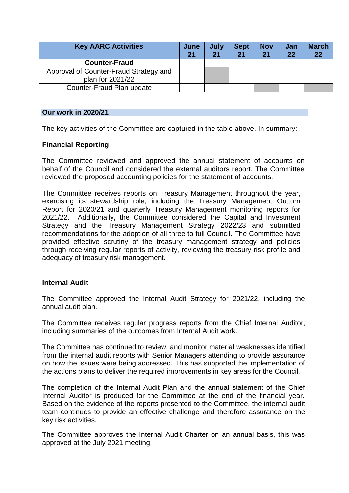| <b>Key AARC Activities</b>             | June<br>21 | July<br>21 | <b>Sept</b><br>21 | <b>Nov</b><br>21 | Jan<br>22 | <b>March</b><br>22 |
|----------------------------------------|------------|------------|-------------------|------------------|-----------|--------------------|
| <b>Counter-Fraud</b>                   |            |            |                   |                  |           |                    |
| Approval of Counter-Fraud Strategy and |            |            |                   |                  |           |                    |
| plan for 2021/22                       |            |            |                   |                  |           |                    |
| Counter-Fraud Plan update              |            |            |                   |                  |           |                    |

## **Our work in 2020/21**

The key activities of the Committee are captured in the table above. In summary:

# **Financial Reporting**

The Committee reviewed and approved the annual statement of accounts on behalf of the Council and considered the external auditors report. The Committee reviewed the proposed accounting policies for the statement of accounts.

The Committee receives reports on Treasury Management throughout the year, exercising its stewardship role, including the Treasury Management Outturn Report for 2020/21 and quarterly Treasury Management monitoring reports for 2021/22. Additionally, the Committee considered the Capital and Investment Strategy and the Treasury Management Strategy 2022/23 and submitted recommendations for the adoption of all three to full Council. The Committee have provided effective scrutiny of the treasury management strategy and policies through receiving regular reports of activity, reviewing the treasury risk profile and adequacy of treasury risk management.

## **Internal Audit**

The Committee approved the Internal Audit Strategy for 2021/22, including the annual audit plan.

The Committee receives regular progress reports from the Chief Internal Auditor, including summaries of the outcomes from Internal Audit work.

The Committee has continued to review, and monitor material weaknesses identified from the internal audit reports with Senior Managers attending to provide assurance on how the issues were being addressed. This has supported the implementation of the actions plans to deliver the required improvements in key areas for the Council.

The completion of the Internal Audit Plan and the annual statement of the Chief Internal Auditor is produced for the Committee at the end of the financial year. Based on the evidence of the reports presented to the Committee, the internal audit team continues to provide an effective challenge and therefore assurance on the key risk activities.

The Committee approves the Internal Audit Charter on an annual basis, this was approved at the July 2021 meeting.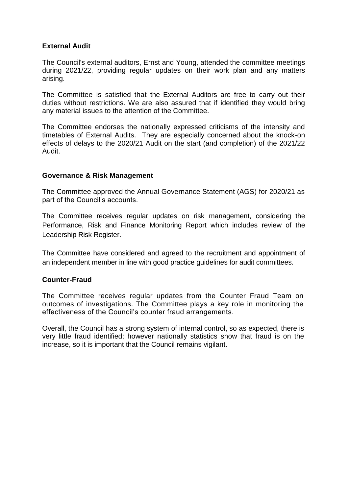# **External Audit**

The Council's external auditors, Ernst and Young, attended the committee meetings during 2021/22, providing regular updates on their work plan and any matters arising.

The Committee is satisfied that the External Auditors are free to carry out their duties without restrictions. We are also assured that if identified they would bring any material issues to the attention of the Committee.

The Committee endorses the nationally expressed criticisms of the intensity and timetables of External Audits. They are especially concerned about the knock-on effects of delays to the 2020/21 Audit on the start (and completion) of the 2021/22 Audit.

# **Governance & Risk Management**

The Committee approved the Annual Governance Statement (AGS) for 2020/21 as part of the Council's accounts.

The Committee receives regular updates on risk management, considering the Performance, Risk and Finance Monitoring Report which includes review of the Leadership Risk Register.

The Committee have considered and agreed to the recruitment and appointment of an independent member in line with good practice guidelines for audit committees.

# **Counter-Fraud**

The Committee receives regular updates from the Counter Fraud Team on outcomes of investigations. The Committee plays a key role in monitoring the effectiveness of the Council's counter fraud arrangements.

Overall, the Council has a strong system of internal control, so as expected, there is very little fraud identified; however nationally statistics show that fraud is on the increase, so it is important that the Council remains vigilant.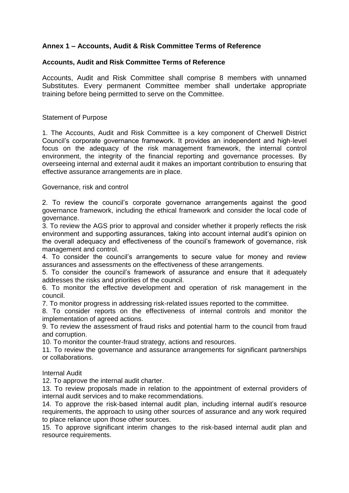# **Annex 1 – Accounts, Audit & Risk Committee Terms of Reference**

# **Accounts, Audit and Risk Committee Terms of Reference**

Accounts, Audit and Risk Committee shall comprise 8 members with unnamed Substitutes. Every permanent Committee member shall undertake appropriate training before being permitted to serve on the Committee.

# Statement of Purpose

1. The Accounts, Audit and Risk Committee is a key component of Cherwell District Council's corporate governance framework. It provides an independent and high-level focus on the adequacy of the risk management framework, the internal control environment, the integrity of the financial reporting and governance processes. By overseeing internal and external audit it makes an important contribution to ensuring that effective assurance arrangements are in place.

## Governance, risk and control

2. To review the council's corporate governance arrangements against the good governance framework, including the ethical framework and consider the local code of governance.

3. To review the AGS prior to approval and consider whether it properly reflects the risk environment and supporting assurances, taking into account internal audit's opinion on the overall adequacy and effectiveness of the council's framework of governance, risk management and control.

4. To consider the council's arrangements to secure value for money and review assurances and assessments on the effectiveness of these arrangements.

5. To consider the council's framework of assurance and ensure that it adequately addresses the risks and priorities of the council.

6. To monitor the effective development and operation of risk management in the council.

7. To monitor progress in addressing risk-related issues reported to the committee.

8. To consider reports on the effectiveness of internal controls and monitor the implementation of agreed actions.

9. To review the assessment of fraud risks and potential harm to the council from fraud and corruption.

10. To monitor the counter-fraud strategy, actions and resources.

11. To review the governance and assurance arrangements for significant partnerships or collaborations.

## Internal Audit

12. To approve the internal audit charter.

13. To review proposals made in relation to the appointment of external providers of internal audit services and to make recommendations.

14. To approve the risk-based internal audit plan, including internal audit's resource requirements, the approach to using other sources of assurance and any work required to place reliance upon those other sources.

15. To approve significant interim changes to the risk-based internal audit plan and resource requirements.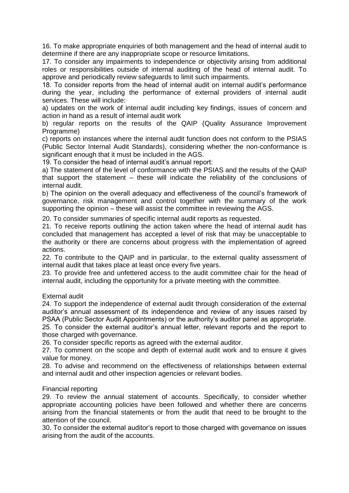16. To make appropriate enquiries of both management and the head of internal audit to determine if there are any inappropriate scope or resource limitations.

17. To consider any impairments to independence or objectivity arising from additional roles or responsibilities outside of internal auditing of the head of internal audit. To approve and periodically review safeguards to limit such impairments.

18. To consider reports from the head of internal audit on internal audit's performance during the year, including the performance of external providers of internal audit services. These will include:

a) updates on the work of internal audit including key findings, issues of concern and action in hand as a result of internal audit work

b) regular reports on the results of the QAIP (Quality Assurance Improvement Programme)

c) reports on instances where the internal audit function does not conform to the PSIAS (Public Sector Internal Audit Standards), considering whether the non-conformance is significant enough that it must be included in the AGS.

19. To consider the head of internal audit's annual report:

a) The statement of the level of conformance with the PSIAS and the results of the QAIP that support the statement – these will indicate the reliability of the conclusions of internal audit.

b) The opinion on the overall adequacy and effectiveness of the council's framework of governance, risk management and control together with the summary of the work supporting the opinion – these will assist the committee in reviewing the AGS.

20. To consider summaries of specific internal audit reports as requested.

21. To receive reports outlining the action taken where the head of internal audit has concluded that management has accepted a level of risk that may be unacceptable to the authority or there are concerns about progress with the implementation of agreed actions.

22. To contribute to the QAIP and in particular, to the external quality assessment of internal audit that takes place at least once every five years.

23. To provide free and unfettered access to the audit committee chair for the head of internal audit, including the opportunity for a private meeting with the committee.

External audit

24. To support the independence of external audit through consideration of the external auditor's annual assessment of its independence and review of any issues raised by PSAA (Public Sector Audit Appointments) or the authority's auditor panel as appropriate. 25. To consider the external auditor's annual letter, relevant reports and the report to

those charged with governance.

26. To consider specific reports as agreed with the external auditor.

27. To comment on the scope and depth of external audit work and to ensure it gives value for money.

28. To advise and recommend on the effectiveness of relationships between external and internal audit and other inspection agencies or relevant bodies.

## Financial reporting

29. To review the annual statement of accounts. Specifically, to consider whether appropriate accounting policies have been followed and whether there are concerns arising from the financial statements or from the audit that need to be brought to the attention of the council.

30. To consider the external auditor's report to those charged with governance on issues arising from the audit of the accounts.